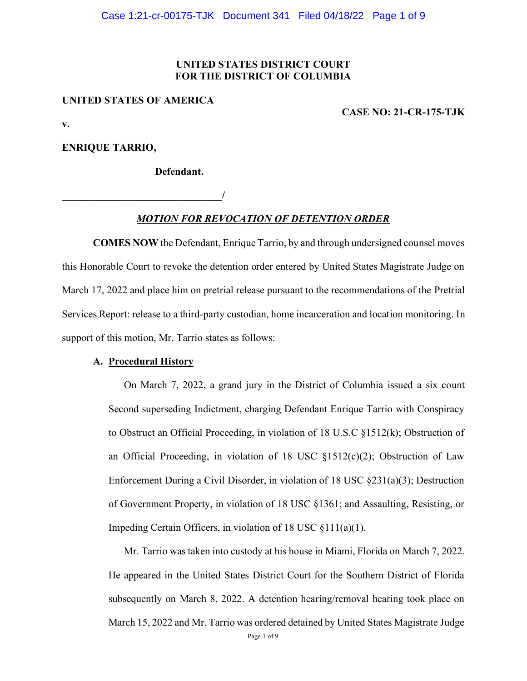#### **UNITED STATES DISTRICT COURT FOR THE DISTRICT OF COLUMBIA**

#### **UNITED STATES OF AMERICA**

**\_\_\_\_\_\_\_\_\_\_\_\_\_\_\_\_\_\_\_\_\_\_\_\_\_\_\_\_\_\_\_/** 

**CASE NO: 21-CR-175-TJK**

**v.**

**ENRIQUE TARRIO,** 

**Defendant.** 

*MOTION FOR REVOCATION OF DETENTION ORDER*

**COMES NOW** the Defendant, Enrique Tarrio, by and through undersigned counsel moves this Honorable Court to revoke the detention order entered by United States Magistrate Judge on March 17, 2022 and place him on pretrial release pursuant to the recommendations of the Pretrial Services Report: release to a third-party custodian, home incarceration and location monitoring. In support of this motion, Mr. Tarrio states as follows:

#### **A. Procedural History**

On March 7, 2022, a grand jury in the District of Columbia issued a six count Second superseding Indictment, charging Defendant Enrique Tarrio with Conspiracy to Obstruct an Official Proceeding, in violation of 18 U.S.C §1512(k); Obstruction of an Official Proceeding, in violation of 18 USC  $\S1512(c)(2)$ ; Obstruction of Law Enforcement During a Civil Disorder, in violation of 18 USC §231(a)(3); Destruction of Government Property, in violation of 18 USC §1361; and Assaulting, Resisting, or Impeding Certain Officers, in violation of 18 USC §111(a)(1).

Mr. Tarrio was taken into custody at his house in Miami, Florida on March 7, 2022. He appeared in the United States District Court for the Southern District of Florida subsequently on March 8, 2022. A detention hearing/removal hearing took place on March 15, 2022 and Mr. Tarrio was ordered detained by United States Magistrate Judge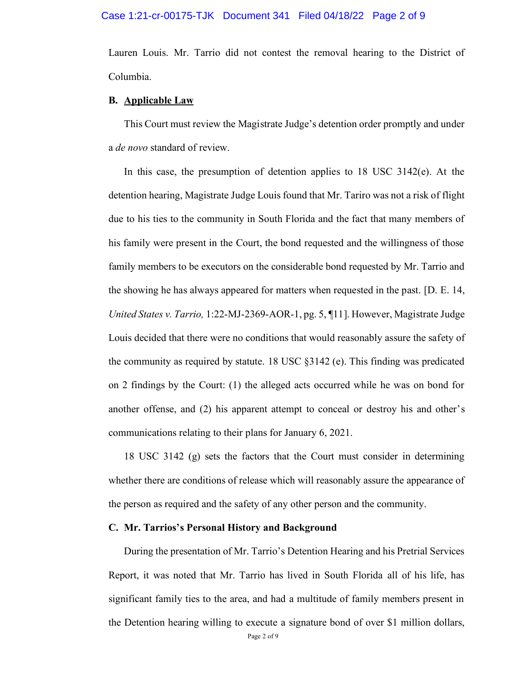Lauren Louis. Mr. Tarrio did not contest the removal hearing to the District of Columbia.

#### **B. Applicable Law**

This Court must review the Magistrate Judge's detention order promptly and under a *de novo* standard of review.

In this case, the presumption of detention applies to 18 USC 3142(e). At the detention hearing, Magistrate Judge Louis found that Mr. Tariro was not a risk of flight due to his ties to the community in South Florida and the fact that many members of his family were present in the Court, the bond requested and the willingness of those family members to be executors on the considerable bond requested by Mr. Tarrio and the showing he has always appeared for matters when requested in the past. [D. E. 14, *United States v. Tarrio,* 1:22-MJ-2369-AOR-1, pg. 5, ¶11]. However, Magistrate Judge Louis decided that there were no conditions that would reasonably assure the safety of the community as required by statute. 18 USC §3142 (e). This finding was predicated on 2 findings by the Court: (1) the alleged acts occurred while he was on bond for another offense, and (2) his apparent attempt to conceal or destroy his and other's communications relating to their plans for January 6, 2021.

18 USC 3142 (g) sets the factors that the Court must consider in determining whether there are conditions of release which will reasonably assure the appearance of the person as required and the safety of any other person and the community.

#### **C. Mr. Tarrios's Personal History and Background**

During the presentation of Mr. Tarrio's Detention Hearing and his Pretrial Services Report, it was noted that Mr. Tarrio has lived in South Florida all of his life, has significant family ties to the area, and had a multitude of family members present in the Detention hearing willing to execute a signature bond of over \$1 million dollars,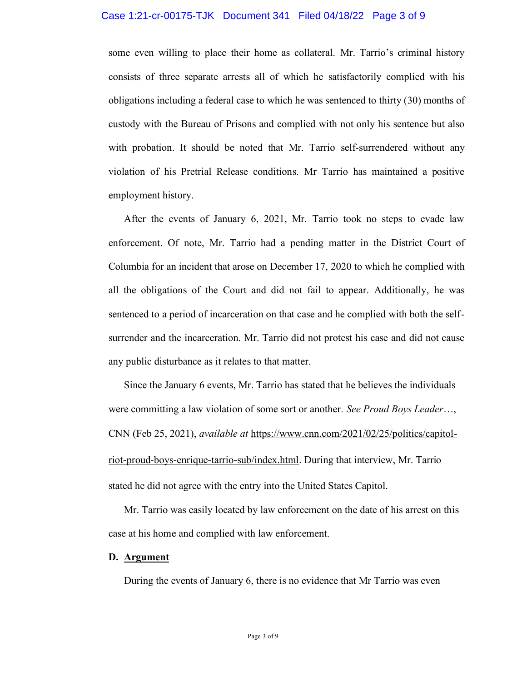#### Case 1:21-cr-00175-TJK Document 341 Filed 04/18/22 Page 3 of 9

some even willing to place their home as collateral. Mr. Tarrio's criminal history consists of three separate arrests all of which he satisfactorily complied with his obligations including a federal case to which he was sentenced to thirty (30) months of custody with the Bureau of Prisons and complied with not only his sentence but also with probation. It should be noted that Mr. Tarrio self-surrendered without any violation of his Pretrial Release conditions. Mr Tarrio has maintained a positive employment history.

After the events of January 6, 2021, Mr. Tarrio took no steps to evade law enforcement. Of note, Mr. Tarrio had a pending matter in the District Court of Columbia for an incident that arose on December 17, 2020 to which he complied with all the obligations of the Court and did not fail to appear. Additionally, he was sentenced to a period of incarceration on that case and he complied with both the selfsurrender and the incarceration. Mr. Tarrio did not protest his case and did not cause any public disturbance as it relates to that matter.

Since the January 6 events, Mr. Tarrio has stated that he believes the individuals were committing a law violation of some sort or another*. See Proud Boys Leader*…, CNN (Feb 25, 2021), *available at* [https://www.cnn.com/2021/02/25/politics/capitol](https://www.cnn.com/2021/02/25/politics/capitol-riot-proud-boys-enrique-tarrio-sub/index.html)[riot-proud-boys-enrique-tarrio-sub/index.html.](https://www.cnn.com/2021/02/25/politics/capitol-riot-proud-boys-enrique-tarrio-sub/index.html) During that interview, Mr. Tarrio stated he did not agree with the entry into the United States Capitol.

Mr. Tarrio was easily located by law enforcement on the date of his arrest on this case at his home and complied with law enforcement.

#### **D. Argument**

During the events of January 6, there is no evidence that Mr Tarrio was even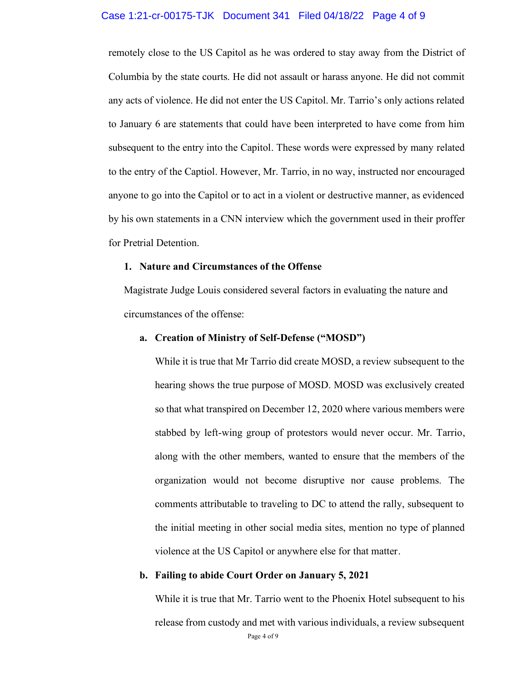#### Case 1:21-cr-00175-TJK Document 341 Filed 04/18/22 Page 4 of 9

remotely close to the US Capitol as he was ordered to stay away from the District of Columbia by the state courts. He did not assault or harass anyone. He did not commit any acts of violence. He did not enter the US Capitol. Mr. Tarrio's only actions related to January 6 are statements that could have been interpreted to have come from him subsequent to the entry into the Capitol. These words were expressed by many related to the entry of the Captiol. However, Mr. Tarrio, in no way, instructed nor encouraged anyone to go into the Capitol or to act in a violent or destructive manner, as evidenced by his own statements in a CNN interview which the government used in their proffer for Pretrial Detention.

#### **1. Nature and Circumstances of the Offense**

Magistrate Judge Louis considered several factors in evaluating the nature and circumstances of the offense:

#### **a. Creation of Ministry of Self-Defense ("MOSD")**

While it is true that Mr Tarrio did create MOSD, a review subsequent to the hearing shows the true purpose of MOSD. MOSD was exclusively created so that what transpired on December 12, 2020 where various members were stabbed by left-wing group of protestors would never occur. Mr. Tarrio, along with the other members, wanted to ensure that the members of the organization would not become disruptive nor cause problems. The comments attributable to traveling to DC to attend the rally, subsequent to the initial meeting in other social media sites, mention no type of planned violence at the US Capitol or anywhere else for that matter.

#### **b. Failing to abide Court Order on January 5, 2021**

Page 4 of 9 While it is true that Mr. Tarrio went to the Phoenix Hotel subsequent to his release from custody and met with various individuals, a review subsequent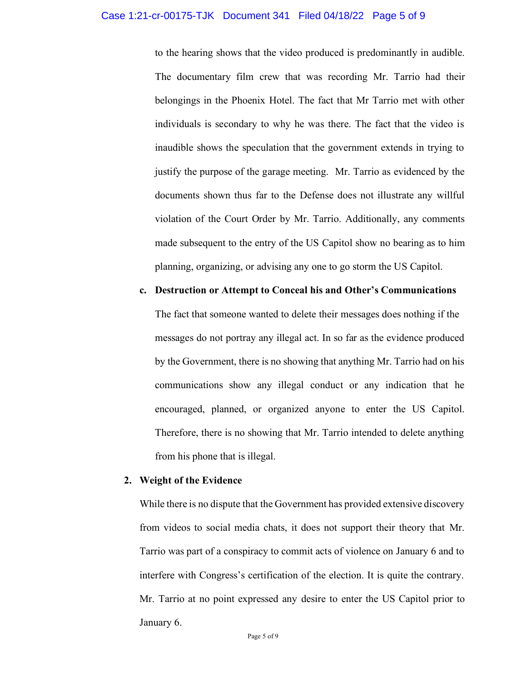#### Case 1:21-cr-00175-TJK Document 341 Filed 04/18/22 Page 5 of 9

to the hearing shows that the video produced is predominantly in audible. The documentary film crew that was recording Mr. Tarrio had their belongings in the Phoenix Hotel. The fact that Mr Tarrio met with other individuals is secondary to why he was there. The fact that the video is inaudible shows the speculation that the government extends in trying to justify the purpose of the garage meeting. Mr. Tarrio as evidenced by the documents shown thus far to the Defense does not illustrate any willful violation of the Court Order by Mr. Tarrio. Additionally, any comments made subsequent to the entry of the US Capitol show no bearing as to him planning, organizing, or advising any one to go storm the US Capitol.

#### **c. Destruction or Attempt to Conceal his and Other's Communications**

The fact that someone wanted to delete their messages does nothing if the messages do not portray any illegal act. In so far as the evidence produced by the Government, there is no showing that anything Mr. Tarrio had on his communications show any illegal conduct or any indication that he encouraged, planned, or organized anyone to enter the US Capitol. Therefore, there is no showing that Mr. Tarrio intended to delete anything from his phone that is illegal.

#### **2. Weight of the Evidence**

While there is no dispute that the Government has provided extensive discovery from videos to social media chats, it does not support their theory that Mr. Tarrio was part of a conspiracy to commit acts of violence on January 6 and to interfere with Congress's certification of the election. It is quite the contrary. Mr. Tarrio at no point expressed any desire to enter the US Capitol prior to January 6.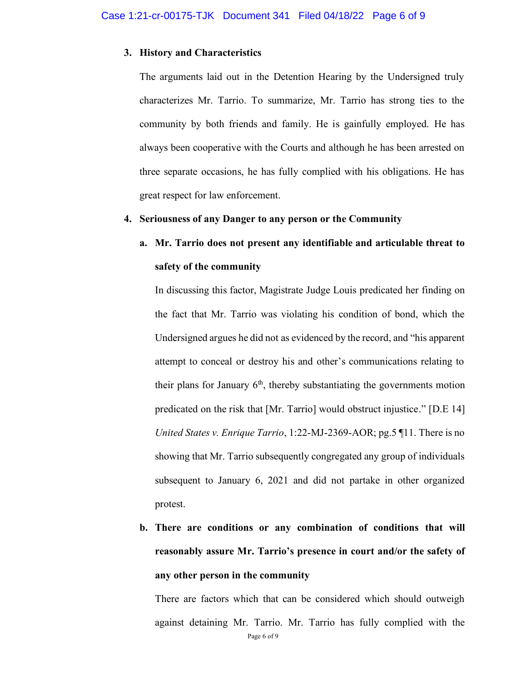#### **3. History and Characteristics**

The arguments laid out in the Detention Hearing by the Undersigned truly characterizes Mr. Tarrio. To summarize, Mr. Tarrio has strong ties to the community by both friends and family. He is gainfully employed. He has always been cooperative with the Courts and although he has been arrested on three separate occasions, he has fully complied with his obligations. He has great respect for law enforcement.

#### **4. Seriousness of any Danger to any person or the Community**

# **a. Mr. Tarrio does not present any identifiable and articulable threat to safety of the community**

In discussing this factor, Magistrate Judge Louis predicated her finding on the fact that Mr. Tarrio was violating his condition of bond, which the Undersigned argues he did not as evidenced by the record, and "his apparent attempt to conceal or destroy his and other's communications relating to their plans for January  $6<sup>th</sup>$ , thereby substantiating the governments motion predicated on the risk that [Mr. Tarrio] would obstruct injustice." [D.E 14] *United States v. Enrique Tarrio*, 1:22-MJ-2369-AOR; pg.5 ¶11. There is no showing that Mr. Tarrio subsequently congregated any group of individuals subsequent to January 6, 2021 and did not partake in other organized protest.

# **b. There are conditions or any combination of conditions that will**  reasonably assure Mr. Tarrio's presence in court and/or the safety of **any other person in the community**

Page 6 of 9 There are factors which that can be considered which should outweigh against detaining Mr. Tarrio. Mr. Tarrio has fully complied with the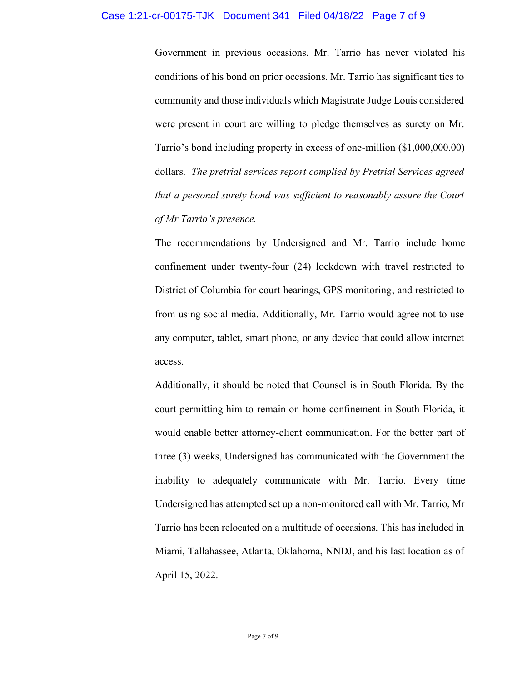Government in previous occasions. Mr. Tarrio has never violated his conditions of his bond on prior occasions. Mr. Tarrio has significant ties to community and those individuals which Magistrate Judge Louis considered were present in court are willing to pledge themselves as surety on Mr. Tarrio's bond including property in excess of one-million (\$1,000,000.00) dollars. *The pretrial services report complied by Pretrial Services agreed that a personal surety bond was sufficient to reasonably assure the Court of Mr Tarrio's presence.*

The recommendations by Undersigned and Mr. Tarrio include home confinement under twenty-four (24) lockdown with travel restricted to District of Columbia for court hearings, GPS monitoring, and restricted to from using social media. Additionally, Mr. Tarrio would agree not to use any computer, tablet, smart phone, or any device that could allow internet access.

Additionally, it should be noted that Counsel is in South Florida. By the court permitting him to remain on home confinement in South Florida, it would enable better attorney-client communication. For the better part of three (3) weeks, Undersigned has communicated with the Government the inability to adequately communicate with Mr. Tarrio. Every time Undersigned has attempted set up a non-monitored call with Mr. Tarrio, Mr Tarrio has been relocated on a multitude of occasions. This has included in Miami, Tallahassee, Atlanta, Oklahoma, NNDJ, and his last location as of April 15, 2022.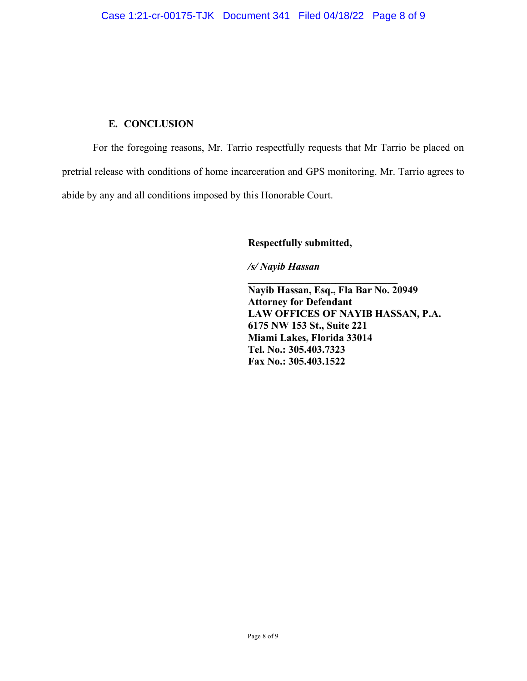## **E. CONCLUSION**

For the foregoing reasons, Mr. Tarrio respectfully requests that Mr Tarrio be placed on pretrial release with conditions of home incarceration and GPS monitoring. Mr. Tarrio agrees to abide by any and all conditions imposed by this Honorable Court.

**Respectfully submitted,** 

*/s/ Nayib Hassan* 

**Nayib Hassan, Esq., Fla Bar No. 20949 Attorney for Defendant LAW OFFICES OF NAYIB HASSAN, P.A. 6175 NW 153 St., Suite 221 Miami Lakes, Florida 33014 Tel. No.: 305.403.7323 Fax No.: 305.403.1522**

**\_\_\_\_\_\_\_\_\_\_\_\_\_\_\_\_\_\_\_\_\_\_\_\_\_\_\_\_\_**